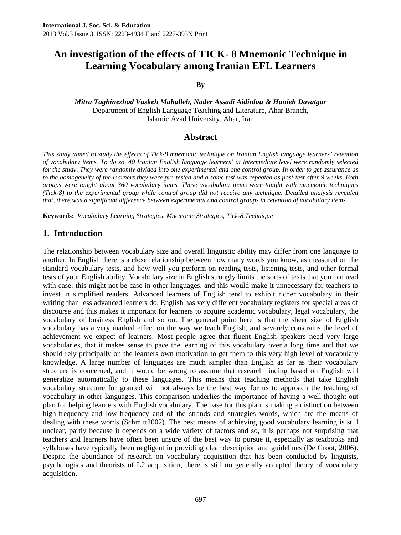#### **By**

*Mitra Taghinezhad Vaskeh Mahalleh, Nader Assadi Aidinlou & Hanieh Davatgar*  Department of English Language Teaching and Literature, Ahar Branch, Islamic Azad University, Ahar, Iran

#### **Abstract**

*This study aimed to study the effects of Tick-8 mnemonic technique on Iranian English language learners' retention of vocabulary items. To do so, 40 Iranian English language learners' at intermediate level were randomly selected for the study. They were randomly divided into one experimental and one control group. In order to get assurance as to the homogeneity of the learners they were pre-tested and a same test was repeated as post-test after 9 weeks. Both groups were taught about 360 vocabulary items. These vocabulary items were taught with mnemonic techniques (Tick-8) to the experimental group while control group did not receive any technique. Detailed analysis revealed that, there was a significant difference between experimental and control groups in retention of vocabulary items.* 

**Keywords:** *Vocabulary Learning Strategies, Mnemonic Strategies, Tick-8 Technique* 

### **1. Introduction**

The relationship between vocabulary size and overall linguistic ability may differ from one language to another. In English there is a close relationship between how many words you know, as measured on the standard vocabulary tests, and how well you perform on reading tests, listening tests, and other formal tests of your English ability. Vocabulary size in English strongly limits the sorts of texts that you can read with ease: this might not be case in other languages, and this would make it unnecessary for teachers to invest in simplified readers. Advanced learners of English tend to exhibit richer vocabulary in their writing than less advanced learners do. English has very different vocabulary registers for special areas of discourse and this makes it important for learners to acquire academic vocabulary, legal vocabulary, the vocabulary of business English and so on. The general point here is that the sheer size of English vocabulary has a very marked effect on the way we teach English, and severely constrains the level of achievement we expect of learners. Most people agree that fluent English speakers need very large vocabularies, that it makes sense to pace the learning of this vocabulary over a long time and that we should rely principally on the learners own motivation to get them to this very high level of vocabulary knowledge. A large number of languages are much simpler than English as far as their vocabulary structure is concerned, and it would be wrong to assume that research finding based on English will generalize automatically to these languages. This means that teaching methods that take English vocabulary structure for granted will not always be the best way for us to approach the teaching of vocabulary in other languages. This comparison underlies the importance of having a well-thought-out plan for helping learners with English vocabulary. The base for this plan is making a distinction between high-frequency and low-frequency and of the strands and strategies words, which are the means of dealing with these words (Schmitt2002). The best means of achieving good vocabulary learning is still unclear, partly because it depends on a wide variety of factors and so, it is perhaps not surprising that teachers and learners have often been unsure of the best way to pursue it, especially as textbooks and syllabuses have typically been negligent in providing clear description and guidelines (De Groot, 2006). Despite the abundance of research on vocabulary acquisition that has been conducted by linguists, psychologists and theorists of L2 acquisition, there is still no generally accepted theory of vocabulary acquisition.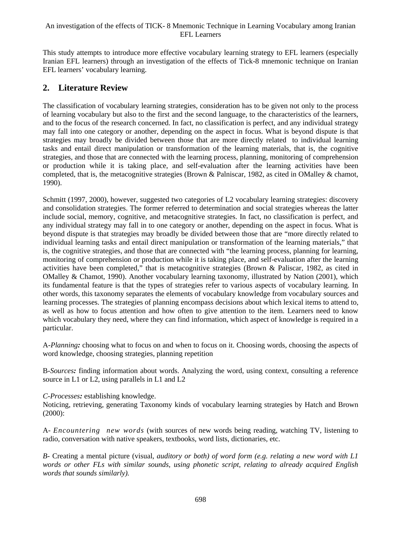This study attempts to introduce more effective vocabulary learning strategy to EFL learners (especially Iranian EFL learners) through an investigation of the effects of Tick-8 mnemonic technique on Iranian EFL learners' vocabulary learning.

### **2. Literature Review**

The classification of vocabulary learning strategies, consideration has to be given not only to the process of learning vocabulary but also to the first and the second language, to the characteristics of the learners, and to the focus of the research concerned. In fact, no classification is perfect, and any individual strategy may fall into one category or another, depending on the aspect in focus. What is beyond dispute is that strategies may broadly be divided between those that are more directly related to individual learning tasks and entail direct manipulation or transformation of the learning materials, that is, the cognitive strategies, and those that are connected with the learning process, planning, monitoring of comprehension or production while it is taking place, and self-evaluation after the learning activities have been completed, that is, the metacognitive strategies (Brown & Palniscar, 1982, as cited in OMalley & chamot, 1990).

Schmitt (1997, 2000), however, suggested two categories of L2 vocabulary learning strategies: discovery and consolidation strategies. The former referred to determination and social strategies whereas the latter include social, memory, cognitive, and metacognitive strategies. In fact, no classification is perfect, and any individual strategy may fall in to one category or another, depending on the aspect in focus. What is beyond dispute is that strategies may broadly be divided between those that are "more directly related to individual learning tasks and entail direct manipulation or transformation of the learning materials," that is, the cognitive strategies, and those that are connected with "the learning process, planning for learning, monitoring of comprehension or production while it is taking place, and self-evaluation after the learning activities have been completed," that is metacognitive strategies (Brown & Paliscar, 1982, as cited in OMalley & Chamot, 1990). Another vocabulary learning taxonomy, illustrated by Nation (2001), which its fundamental feature is that the types of strategies refer to various aspects of vocabulary learning. In other words, this taxonomy separates the elements of vocabulary knowledge from vocabulary sources and learning processes. The strategies of planning encompass decisions about which lexical items to attend to, as well as how to focus attention and how often to give attention to the item. Learners need to know which vocabulary they need, where they can find information, which aspect of knowledge is required in a particular.

A*-Planning:* choosing what to focus on and when to focus on it. Choosing words, choosing the aspects of word knowledge, choosing strategies, planning repetition

B-*Sources:* finding information about words. Analyzing the word, using context, consulting a reference source in L1 or L2, using parallels in L1 and L2

*C-Processes:* establishing knowledge.

Noticing, retrieving, generating Taxonomy kinds of vocabulary learning strategies by Hatch and Brown (2000):

A- *Encountering new words* (with sources of new words being reading, watching TV, listening to radio, conversation with native speakers, textbooks, word lists, dictionaries, etc.

*B-* Creating a mental picture (visual*, auditory or both) of word form (e.g. relating a new word with L1 words or other FLs with similar sounds, using phonetic script, relating to already acquired English words that sounds similarly).*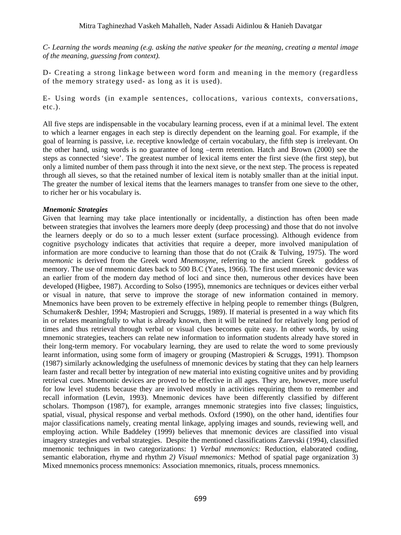*C- Learning the words meaning (e.g. asking the native speaker for the meaning, creating a mental image of the meaning, guessing from context).*

D- Creating a strong linkage between word form and meaning in the memory (regardless of the memory strategy used- as long as it is used).

E- Using words (in example sentences, collocations, various contexts, conversations, etc.).

All five steps are indispensable in the vocabulary learning process, even if at a minimal level. The extent to which a learner engages in each step is directly dependent on the learning goal. For example, if the goal of learning is passive, i.e. receptive knowledge of certain vocabulary, the fifth step is irrelevant. On the other hand, using words is no guarantee of long –term retention. Hatch and Brown (2000) see the steps as connected 'sieve'. The greatest number of lexical items enter the first sieve (the first step), but only a limited number of them pass through it into the next sieve, or the next step. The process is repeated through all sieves, so that the retained number of lexical item is notably smaller than at the initial input. The greater the number of lexical items that the learners manages to transfer from one sieve to the other, to richer her or his vocabulary is.

#### *Mnemonic Strategies*

Given that learning may take place intentionally or incidentally, a distinction has often been made between strategies that involves the learners more deeply (deep processing) and those that do not involve the learners deeply or do so to a much lesser extent (surface processing). Although evidence from cognitive psychology indicates that activities that require a deeper, more involved manipulation of information are more conducive to learning than those that do not (Craik & Tulving, 1975). The word *mnemonic* is derived from the Greek word *Mnemosyne*, referring to the ancient Greek goddess of memory. The use of mnemonic dates back to 500 B.C (Yates, 1966). The first used mnemonic device was an earlier from of the modern day method of loci and since then, numerous other devices have been developed (Higbee, 1987). According to Solso (1995), mnemonics are techniques or devices either verbal or visual in nature, that serve to improve the storage of new information contained in memory. Mnemonics have been proven to be extremely effective in helping people to remember things (Bulgren, Schumaker& Deshler, 1994; Mastropieri and Scruggs, 1989). If material is presented in a way which fits in or relates meaningfully to what is already known, then it will be retained for relatively long period of times and thus retrieval through verbal or visual clues becomes quite easy. In other words, by using mnemonic strategies, teachers can relate new information to information students already have stored in their long-term memory. For vocabulary learning, they are used to relate the word to some previously learnt information, using some form of imagery or grouping (Mastropieri & Scruggs, 1991). Thompson (1987) similarly acknowledging the usefulness of mnemonic devices by stating that they can help learners learn faster and recall better by integration of new material into existing cognitive unites and by providing retrieval cues. Mnemonic devices are proved to be effective in all ages. They are, however, more useful for low level students because they are involved mostly in activities requiring them to remember and recall information (Levin, 1993). Mnemonic devices have been differently classified by different scholars. Thompson (1987), for example, arranges mnemonic strategies into five classes; linguistics, spatial, visual, physical response and verbal methods. Oxford (1990), on the other hand, identifies four major classifications namely, creating mental linkage, applying images and sounds, reviewing well, and employing action. While Baddeley (1999) believes that mnemonic devices are classified into visual imagery strategies and verbal strategies. Despite the mentioned classifications Zarevski (1994), classified mnemonic techniques in two categorizations: 1) *Verbal mnemonics:* Reduction, elaborated coding, semantic elaboration, rhyme and rhythm *2) Visual mnemonics:* Method of spatial page organization 3) Mixed mnemonics process mnemonics: Association mnemonics, rituals, process mnemonics.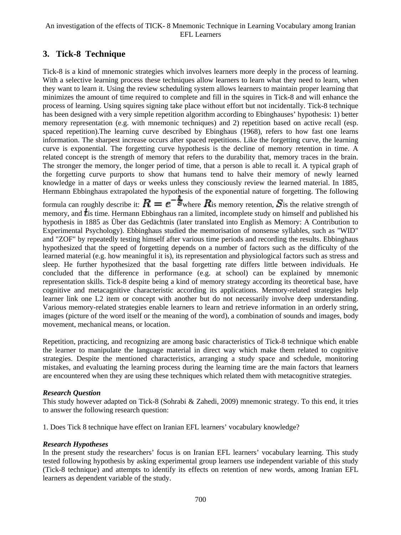# **3. Tick-8 Technique**

Tick-8 is a kind of mnemonic strategies which involves learners more deeply in the process of learning. With a selective learning process these techniques allow learners to learn what they need to learn, when they want to learn it. Using the review scheduling system allows learners to maintain proper learning that minimizes the amount of time required to complete and fill in the squires in Tick-8 and will enhance the process of learning. Using squires signing take place without effort but not incidentally. Tick-8 technique has been designed with a very simple repetition algorithm according to Ebinghauses' hypothesis: 1) better memory representation (e.g. with mnemonic techniques) and 2) repetition based on active recall (esp. spaced repetition).The learning curve described by Ebinghaus (1968), refers to how fast one learns information. The sharpest increase occurs after spaced repetitions. Like the forgetting curve, the learning curve is exponential. The forgetting curve hypothesis is the decline of memory retention in time. A related concept is the strength of memory that refers to the durability that, memory traces in the brain. The stronger the memory, the longer period of time, that a person is able to recall it. A typical graph of the forgetting curve purports to show that humans tend to halve their memory of newly learned knowledge in a matter of days or weeks unless they consciously review the learned material. In 1885, Hermann Ebbinghaus extrapolated the hypothesis of the exponential nature of forgetting. The following formula can roughly describe it:  $R = e^{-\frac{1}{3}}$  where  $R$  is memory retention,  $S$  is the relative strength of memory, and  $t$  is time. Hermann Ebbinghaus ran a limited, incomplete study on himself and published his hypothesis in 1885 as Über das Gedächtnis (later translated into English as Memory: A Contribution to Experimental Psychology). Ebbinghaus studied the memorisation of nonsense syllables, such as "WID" and "ZOF" by repeatedly testing himself after various time periods and recording the results. Ebbinghaus hypothesized that the speed of forgetting depends on a number of factors such as the difficulty of the learned material (e.g. how meaningful it is), its representation and physiological factors such as stress and sleep. He further hypothesized that the basal forgetting rate differs little between individuals. He concluded that the difference in performance (e.g. at school) can be explained by mnemonic representation skills. Tick-8 despite being a kind of memory strategy according its theoretical base, have cognitive and metacagnitive characteristic according its applications. Memory-related strategies help learner link one L2 item or concept with another but do not necessarily involve deep understanding. Various memory-related strategies enable learners to learn and retrieve information in an orderly string, images (picture of the word itself or the meaning of the word), a combination of sounds and images, body movement, mechanical means, or location.

Repetition, practicing, and recognizing are among basic characteristics of Tick-8 technique which enable the learner to manipulate the language material in direct way which make them related to cognitive strategies. Despite the mentioned characteristics, arranging a study space and schedule, monitoring mistakes, and evaluating the learning process during the learning time are the main factors that learners are encountered when they are using these techniques which related them with metacognitive strategies.

#### *Research Question*

This study however adapted on Tick-8 (Sohrabi & Zahedi, 2009) mnemonic strategy. To this end, it tries to answer the following research question:

1. Does Tick 8 technique have effect on Iranian EFL learners' vocabulary knowledge?

#### *Research Hypotheses*

In the present study the researchers' focus is on Iranian EFL learners' vocabulary learning. This study tested following hypothesis by asking experimental group learners use independent variable of this study (Tick-8 technique) and attempts to identify its effects on retention of new words, among Iranian EFL learners as dependent variable of the study.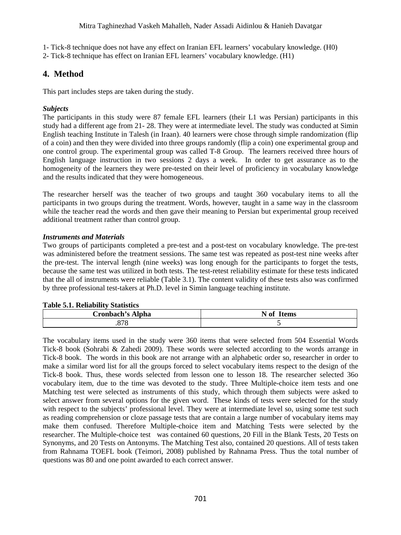1- Tick-8 technique does not have any effect on Iranian EFL learners' vocabulary knowledge. (H0)

2- Tick-8 technique has effect on Iranian EFL learners' vocabulary knowledge. (H1)

# **4. Method**

This part includes steps are taken during the study.

### *Subjects*

The participants in this study were 87 female EFL learners (their L1 was Persian) participants in this study had a different age from 21- 28. They were at intermediate level. The study was conducted at Simin English teaching Institute in Talesh (in Iraan). 40 learners were chose through simple randomization (flip of a coin) and then they were divided into three groups randomly (flip a coin) one experimental group and one control group. The experimental group was called T-8 Group. The learners received three hours of English language instruction in two sessions 2 days a week. In order to get assurance as to the homogeneity of the learners they were pre-tested on their level of proficiency in vocabulary knowledge and the results indicated that they were homogeneous.

The researcher herself was the teacher of two groups and taught 360 vocabulary items to all the participants in two groups during the treatment. Words, however, taught in a same way in the classroom while the teacher read the words and then gave their meaning to Persian but experimental group received additional treatment rather than control group.

#### *Instruments and Materials*

Two groups of participants completed a pre-test and a post-test on vocabulary knowledge. The pre-test was administered before the treatment sessions. The same test was repeated as post-test nine weeks after the pre-test. The interval length (nine weeks) was long enough for the participants to forget the tests, because the same test was utilized in both tests. The test-retest reliability estimate for these tests indicated that the all of instruments were reliable (Table 3.1). The content validity of these tests also was confirmed by three professional test-takers at Ph.D. level in Simin language teaching institute.

#### **Table 5.1. Reliability Statistics**

| Cronbach's Alpha | N of Items |
|------------------|------------|
| 070<br>.878      |            |

The vocabulary items used in the study were 360 items that were selected from 504 Essential Words Tick-8 book (Sohrabi & Zahedi 2009). These words were selected according to the words arrange in Tick-8 book. The words in this book are not arrange with an alphabetic order so, researcher in order to make a similar word list for all the groups forced to select vocabulary items respect to the design of the Tick-8 book. Thus, these words selected from lesson one to lesson 18. The researcher selected 36o vocabulary item, due to the time was devoted to the study. Three Multiple-choice item tests and one Matching test were selected as instruments of this study, which through them subjects were asked to select answer from several options for the given word. These kinds of tests were selected for the study with respect to the subjects' professional level. They were at intermediate level so, using some test such as reading comprehension or cloze passage tests that are contain a large number of vocabulary items may make them confused. Therefore Multiple-choice item and Matching Tests were selected by the researcher. The Multiple-choice test was contained 60 questions, 20 Fill in the Blank Tests, 20 Tests on Synonyms, and 20 Tests on Antonyms. The Matching Test also, contained 20 questions. All of tests taken from Rahnama TOEFL book (Teimori, 2008) published by Rahnama Press. Thus the total number of questions was 80 and one point awarded to each correct answer.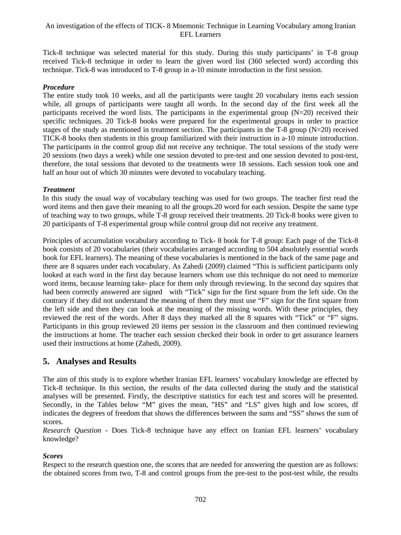Tick-8 technique was selected material for this study. During this study participants' in T-8 group received Tick-8 technique in order to learn the given word list (360 selected word) according this technique. Tick-8 was introduced to T-8 group in a-10 minute introduction in the first session.

#### *Procedure*

The entire study took 10 weeks, and all the participants were taught 20 vocabulary items each session while, all groups of participants were taught all words. In the second day of the first week all the participants received the word lists. The participants in the experimental group (N=20) received their specific techniques. 20 Tick-8 books were prepared for the experimental groups in order to practice stages of the study as mentioned in treatment section. The participants in the T-8 group (N=20) received TICK-8 books then students in this group familiarized with their instruction in a-10 minute introduction. The participants in the control group did not receive any technique. The total sessions of the study were 20 sessions (two days a week) while one session devoted to pre-test and one session devoted to post-test, therefore, the total sessions that devoted to the treatments were 18 sessions. Each session took one and half an hour out of which 30 minutes were devoted to vocabulary teaching.

#### *Treatment*

In this study the usual way of vocabulary teaching was used for two groups. The teacher first read the word items and then gave their meaning to all the groups.20 word for each session. Despite the same type of teaching way to two groups, while T-8 group received their treatments. 20 Tick-8 books were given to 20 participants of T-8 experimental group while control group did not receive any treatment.

Principles of accumulation vocabulary according to Tick- 8 book for T-8 group: Each page of the Tick-8 book consists of 20 vocabularies (their vocabularies arranged according to 504 absolutely essential words book for EFL learners). The meaning of these vocabularies is mentioned in the back of the same page and there are 8 squares under each vocabulary. As Zahedi (2009) claimed "This is sufficient participants only looked at each word in the first day because learners whom use this technique do not need to memorize word items, because learning take- place for them only through reviewing. In the second day squires that had been correctly answered are signed with "Tick" sign for the first square from the left side. On the contrary if they did not understand the meaning of them they must use "F" sign for the first square from the left side and then they can look at the meaning of the missing words. With these principles, they reviewed the rest of the words. After 8 days they marked all the 8 squares with "Tick" or "F" signs. Participants in this group reviewed 20 items per session in the classroom and then continued reviewing the instructions at home. The teacher each session checked their book in order to get assurance learners used their instructions at home (Zahedi, 2009).

# **5. Analyses and Results**

The aim of this study is to explore whether Iranian EFL learners' vocabulary knowledge are effected by Tick-8 technique. In this section, the results of the data collected during the study and the statistical analyses will be presented. Firstly, the descriptive statistics for each test and scores will be presented. Secondly, in the Tables below "M" gives the mean, "HS" and "LS" gives high and low scores, df indicates the degrees of freedom that shows the differences between the sums and "SS" shows the sum of scores.

*Research Question* - Does Tick-8 technique have any effect on Iranian EFL learners' vocabulary knowledge?

### *Scores*

Respect to the research question one, the scores that are needed for answering the question are as follows: the obtained scores from two, T-8 and control groups from the pre-test to the post-test while, the results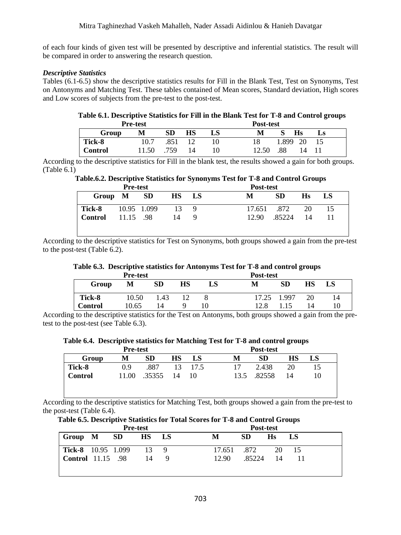of each four kinds of given test will be presented by descriptive and inferential statistics. The result will be compared in order to answering the research question.

#### *Descriptive Statistics*

Tables (6.1-6.5) show the descriptive statistics results for Fill in the Blank Test, Test on Synonyms, Test on Antonyms and Matching Test. These tables contained of Mean scores, Standard deviation, High scores and Low scores of subjects from the pre-test to the post-test.

#### **Table 6.1. Descriptive Statistics for Fill in the Blank Test for T-8 and Control groups Pre-test Post-test**

| r re-test      |       |      |    | r ost-test |       |       |    |  |
|----------------|-------|------|----|------------|-------|-------|----|--|
| Group          | М     | SD   | НS | LS         |       |       | Hs |  |
| Tick-8         | 10.7  | .851 | 12 |            |       | 1.899 | 20 |  |
| <b>Control</b> | .1.50 | .759 | 14 |            | 12.50 | .88   |    |  |

According to the descriptive statistics for Fill in the blank test, the results showed a gain for both groups. (Table 6.1)

### **Table.6.2. Descriptive Statistics for Synonyms Test for T-8 and Control Groups**

|               | <b>Pre-test</b> |       |     | Post-test   |           |    |      |  |  |
|---------------|-----------------|-------|-----|-------------|-----------|----|------|--|--|
| Group M SD    |                 | HS LS |     | М           | <b>SD</b> | Hs | - LS |  |  |
| <b>Tick-8</b> | 10.95 1.099     | -13   | - Q | 17.651 .872 |           | 20 | 15   |  |  |
| Control       | 11.15 .98       | 14    |     | 12.90       | .85224    | 14 |      |  |  |
|               |                 |       |     |             |           |    |      |  |  |
|               |                 |       |     |             |           |    |      |  |  |

According to the descriptive statistics for Test on Synonyms, both groups showed a gain from the pre-test to the post-test (Table 6.2).

#### **Table 6.3. Descriptive statistics for Antonyms Test for T-8 and control groups**

|                | <b>Pre-test</b> |           |    |    |       |           |           |    |
|----------------|-----------------|-----------|----|----|-------|-----------|-----------|----|
| Group          | М               | <b>SD</b> | НS | LS | M     | <b>SD</b> | <b>HS</b> | LS |
| Tick-8         | 10.50           | 1.43      |    |    | 17.25 | 1.997     | 20        | 14 |
| <b>Control</b> | 10.65           | 14        |    |    | 12 R  | 15        | 14        |    |

According to the descriptive statistics for the Test on Antonyms, both groups showed a gain from the pretest to the post-test (see Table 6.3).

#### **Table 6.4. Descriptive statistics for Matching Test for T-8 and control groups**

|               | <b>Pre-test</b> |           |    |         |    | Post-test   |    |    |  |
|---------------|-----------------|-----------|----|---------|----|-------------|----|----|--|
| Group         | М               | <b>SD</b> | НS | LS      | М  | SD          | НS | LS |  |
| <b>Tick-8</b> | 0.9             | .887      |    | 13 17.5 | 17 | 2.438       | 20 | 15 |  |
| Control       | 11.00           | .35355 14 |    | 10      |    | 13.5 .82558 | 14 | 10 |  |
|               |                 |           |    |         |    |             |    |    |  |
|               |                 |           |    |         |    |             |    |    |  |

According to the descriptive statistics for Matching Test, both groups showed a gain from the pre-test to the post-test (Table 6.4).

 **Table 6.5. Descriptive Statistics for Total Scores for T-8 and Control Groups** 

| <b>Pre-test</b>           |  |  |              |           | Post-test   |              |                |    |  |
|---------------------------|--|--|--------------|-----------|-------------|--------------|----------------|----|--|
| Group M SD                |  |  | <b>HS</b>    | <b>LS</b> | M           | <b>SD</b>    | H <sub>s</sub> | LS |  |
| <b>Tick-8</b> 10.95 1.099 |  |  | $13 \quad 9$ |           | 17.651 .872 |              | 20             | 15 |  |
| <b>Control</b> 11.15 .98  |  |  | 14           |           |             | 12.90 .85224 | 14             |    |  |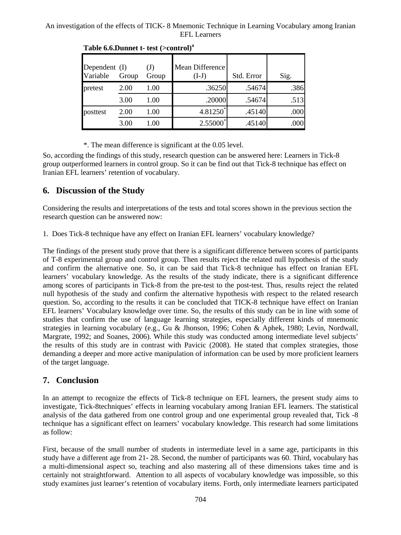| Dependent (I)<br>Variable | Group | $\mathrm{J}$<br>Group | Mean Difference<br>$(I-J)$ | Std. Error | Sig. |
|---------------------------|-------|-----------------------|----------------------------|------------|------|
| pretest                   | 2.00  | 1.00                  | .36250                     | .54674     | .386 |
|                           | 3.00  | 1.00                  | .20000                     | .54674     | .513 |
| posttest                  | 2.00  | 1.00                  | 4.81250*                   | .45140     | .000 |
|                           | 3.00  | 1.00                  | $2.55000^*$                | .45140     |      |

**Table 6.6.Dunnet t- test (>control)<sup>a</sup>**

\*. The mean difference is significant at the 0.05 level.

So, according the findings of this study, research question can be answered here: Learners in Tick-8 group outperformed learners in control group. So it can be find out that Tick-8 technique has effect on Iranian EFL learners' retention of vocabulary.

# **6. Discussion of the Study**

Considering the results and interpretations of the tests and total scores shown in the previous section the research question can be answered now:

1. Does Tick-8 technique have any effect on Iranian EFL learners' vocabulary knowledge?

The findings of the present study prove that there is a significant difference between scores of participants of T-8 experimental group and control group. Then results reject the related null hypothesis of the study and confirm the alternative one. So, it can be said that Tick-8 technique has effect on Iranian EFL learners' vocabulary knowledge. As the results of the study indicate, there is a significant difference among scores of participants in Tick-8 from the pre-test to the post-test. Thus, results reject the related null hypothesis of the study and confirm the alternative hypothesis with respect to the related research question. So, according to the results it can be concluded that TICK-8 technique have effect on Iranian EFL learners' Vocabulary knowledge over time. So, the results of this study can be in line with some of studies that confirm the use of language learning strategies, especially different kinds of mnemonic strategies in learning vocabulary (e.g., Gu & Jhonson, 1996; Cohen & Aphek, 1980; Levin, Nordwall, Margrate, 1992; and Soanes, 2006). While this study was conducted among intermediate level subjects' the results of this study are in contrast with Pavicic (2008). He stated that complex strategies, those demanding a deeper and more active manipulation of information can be used by more proficient learners of the target language.

# **7. Conclusion**

In an attempt to recognize the effects of Tick-8 technique on EFL learners, the present study aims to investigate, Tick-8techniques' effects in learning vocabulary among Iranian EFL learners. The statistical analysis of the data gathered from one control group and one experimental group revealed that, Tick -8 technique has a significant effect on learners' vocabulary knowledge. This research had some limitations as follow:

First, because of the small number of students in intermediate level in a same age, participants in this study have a different age from 21- 28. Second, the number of participants was 60. Third, vocabulary has a multi-dimensional aspect so, teaching and also mastering all of these dimensions takes time and is certainly not straightforward. Attention to all aspects of vocabulary knowledge was impossible, so this study examines just learner's retention of vocabulary items. Forth, only intermediate learners participated